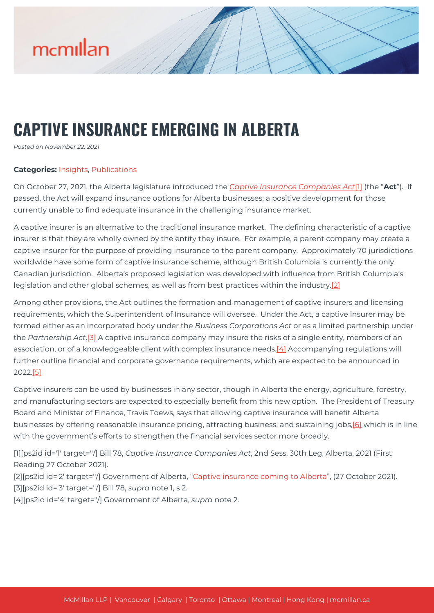

## **CAPTIVE INSURANCE EMERGING IN ALBERTA**

*Posted on November 22, 2021*

## **Categories:** [Insights,](https://mcmillan.ca/insights/) [Publications](https://mcmillan.ca/insights/publications/)

On October 27, 2021, the Alberta legislature introduced the *[Captive Insurance Companies Act](https://www.assembly.ab.ca/assembly-business/bills/bill?billinfoid=11936&from=bills)*[\[1\]](#page--1-0) (the "**Act**"). If passed, the Act will expand insurance options for Alberta businesses; a positive development for those currently unable to find adequate insurance in the challenging insurance market.

A captive insurer is an alternative to the traditional insurance market. The defining characteristic of a captive insurer is that they are wholly owned by the entity they insure. For example, a parent company may create a captive insurer for the purpose of providing insurance to the parent company. Approximately 70 jurisdictions worldwide have some form of captive insurance scheme, although British Columbia is currently the only Canadian jurisdiction. Alberta's proposed legislation was developed with influence from British Columbia's legislation and other global schemes, as well as from best practices within the industry.[\[2\]](#page--1-0)

Among other provisions, the Act outlines the formation and management of captive insurers and licensing requirements, which the Superintendent of Insurance will oversee. Under the Act, a captive insurer may be formed either as an incorporated body under the *Business Corporations Act* or as a limited partnership under the *Partnership Act*.[\[3\]](#page--1-0) A captive insurance company may insure the risks of a single entity, members of an association, or of a knowledgeable client with complex insurance needs.[\[4\]](#page--1-0) Accompanying regulations will further outline financial and corporate governance requirements, which are expected to be announced in 2022.[\[5\]](#page--1-0)

Captive insurers can be used by businesses in any sector, though in Alberta the energy, agriculture, forestry, and manufacturing sectors are expected to especially benefit from this new option. The President of Treasury Board and Minister of Finance, Travis Toews, says that allowing captive insurance will benefit Alberta businesses by offering reasonable insurance pricing, attracting business, and sustaining jobs,<sup>[\[6\]](#page--1-0)</sup> which is in line with the government's efforts to strengthen the financial services sector more broadly.

[1][ps2id id='1' target=''/] Bill 78, *Captive Insurance Companies Act*, 2nd Sess, 30th Leg, Alberta, 2021 (First Reading 27 October 2021).

[2][ps2id id='2' target="/] Government of Alberta, "[Captive insurance coming to Alberta](https://www.alberta.ca/release.cfm?xID=80226A1733D65-96DC-7335-760E5C7C80029CE0)", (27 October 2021). [3][ps2id id='3' target=''/] Bill 78, *supra* note 1, s 2.

[4][ps2id id='4' target=''/] Government of Alberta, *supra* note 2.